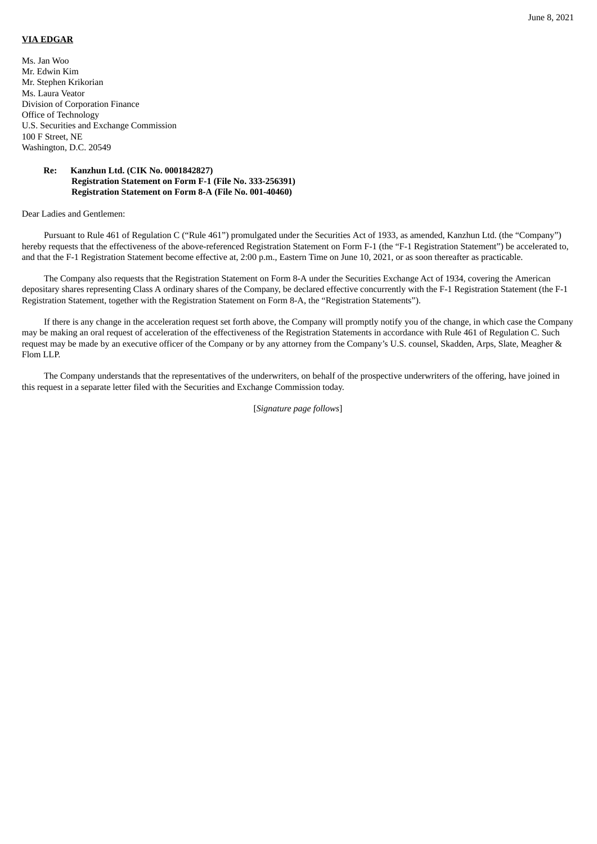## **VIA EDGAR**

Ms. Jan Woo Mr. Edwin Kim Mr. Stephen Krikorian Ms. Laura Veator Division of Corporation Finance Office of Technology U.S. Securities and Exchange Commission 100 F Street, NE Washington, D.C. 20549

## **Re: Kanzhun Ltd. (CIK No. 0001842827) Registration Statement on Form F-1 (File No. 333-256391) Registration Statement on Form 8-A (File No. 001-40460)**

## Dear Ladies and Gentlemen:

Pursuant to Rule 461 of Regulation C ("Rule 461") promulgated under the Securities Act of 1933, as amended, Kanzhun Ltd. (the "Company") hereby requests that the effectiveness of the above-referenced Registration Statement on Form F-1 (the "F-1 Registration Statement") be accelerated to, and that the F-1 Registration Statement become effective at, 2:00 p.m., Eastern Time on June 10, 2021, or as soon thereafter as practicable.

The Company also requests that the Registration Statement on Form 8-A under the Securities Exchange Act of 1934, covering the American depositary shares representing Class A ordinary shares of the Company, be declared effective concurrently with the F-1 Registration Statement (the F-1 Registration Statement, together with the Registration Statement on Form 8-A, the "Registration Statements").

If there is any change in the acceleration request set forth above, the Company will promptly notify you of the change, in which case the Company may be making an oral request of acceleration of the effectiveness of the Registration Statements in accordance with Rule 461 of Regulation C. Such request may be made by an executive officer of the Company or by any attorney from the Company's U.S. counsel, Skadden, Arps, Slate, Meagher & Flom LLP.

The Company understands that the representatives of the underwriters, on behalf of the prospective underwriters of the offering, have joined in this request in a separate letter filed with the Securities and Exchange Commission today.

[*Signature page follows*]